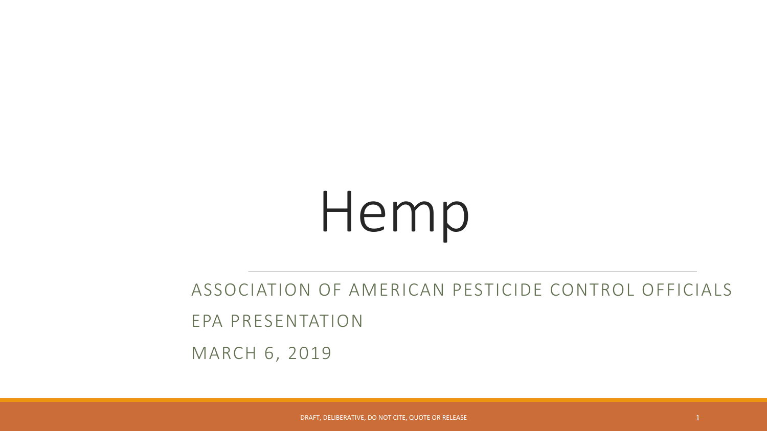ASSOCIATION OF AMERICAN PESTICIDE CONTROL OFFICIALS

EPA PRESENTATION

MARCH 6, 2019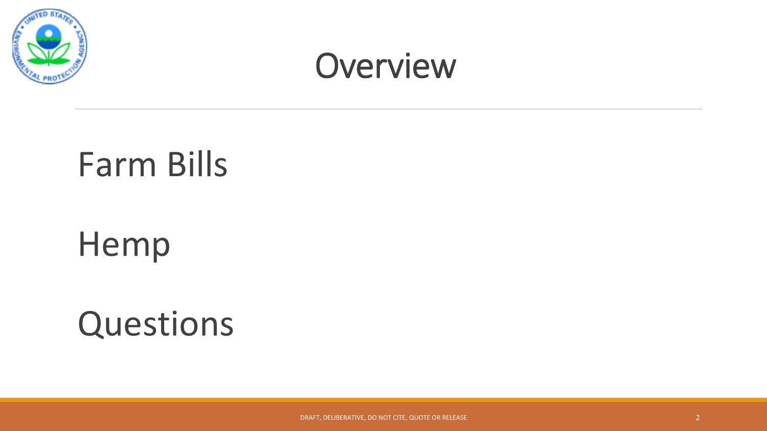

### **Overview**

### Farm Bills

### Hemp

### Questions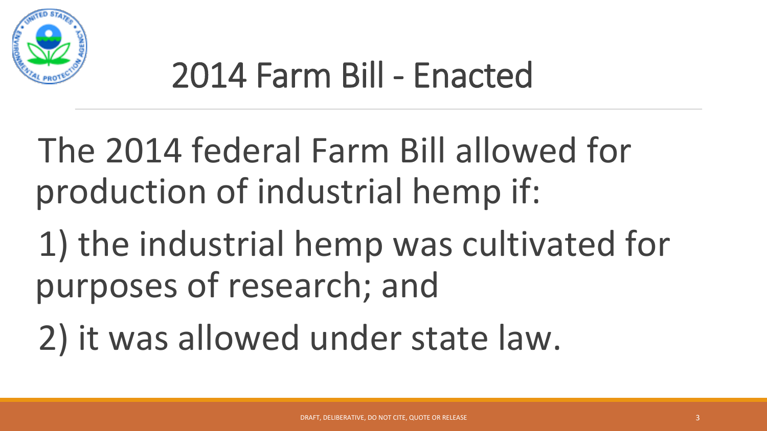

### 2014 Farm Bill - Enacted

- The 2014 federal Farm Bill allowed for production of industrial hemp if:
- 1) the industrial hemp was cultivated for purposes of research; and
- 2) it was allowed under state law.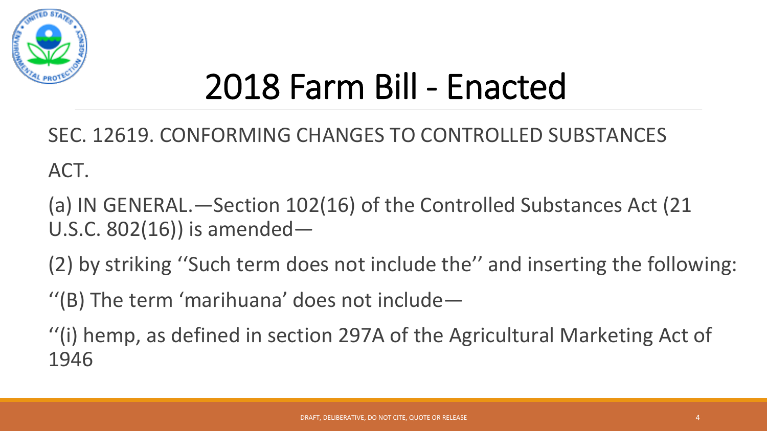

## 2018 Farm Bill - Enacted

SEC. 12619. CONFORMING CHANGES TO CONTROLLED SUBSTANCES ACT. 

(a) IN GENERAL.—Section 102(16) of the Controlled Substances Act (21) U.S.C.  $802(16)$ ) is amended—

(2) by striking "Such term does not include the" and inserting the following:

 $''$ (B) The term 'marihuana' does not include-

"(i) hemp, as defined in section 297A of the Agricultural Marketing Act of 1946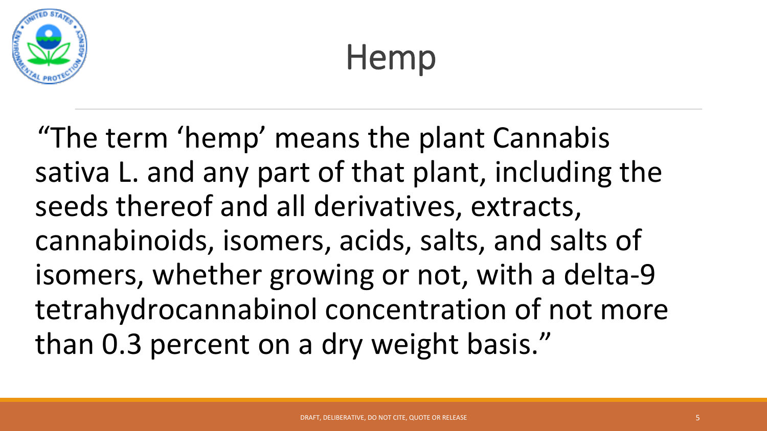

"The term 'hemp' means the plant Cannabis" sativa L. and any part of that plant, including the seeds thereof and all derivatives, extracts, cannabinoids, isomers, acids, salts, and salts of isomers, whether growing or not, with a delta-9 tetrahydrocannabinol concentration of not more than 0.3 percent on a dry weight basis."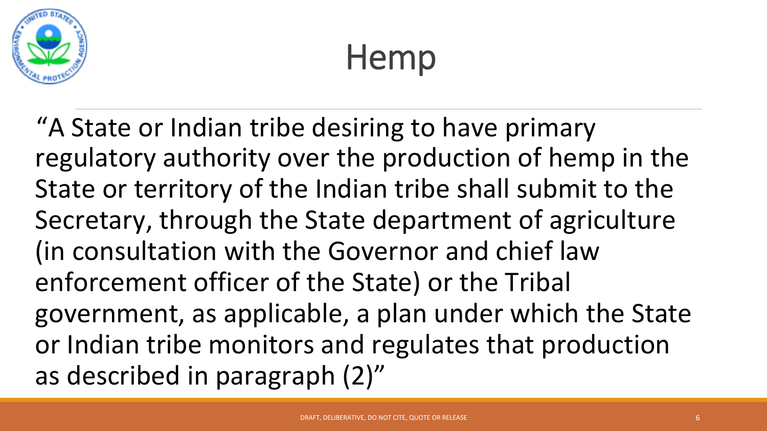

"A State or Indian tribe desiring to have primary regulatory authority over the production of hemp in the State or territory of the Indian tribe shall submit to the Secretary, through the State department of agriculture (in consultation with the Governor and chief law enforcement officer of the State) or the Tribal government, as applicable, a plan under which the State or Indian tribe monitors and regulates that production as described in paragraph (2)"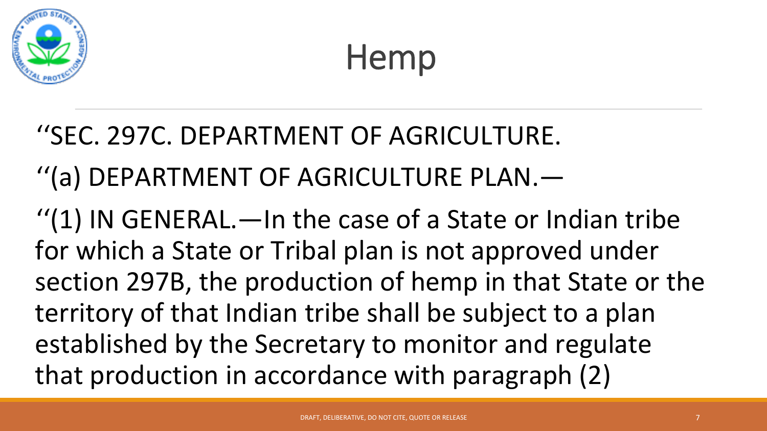

#### ''SEC. 297C. DEPARTMENT OF AGRICULTURE.

#### "(a) DEPARTMENT OF AGRICULTURE PLAN.—

" $(1)$  IN GENERAL.—In the case of a State or Indian tribe for which a State or Tribal plan is not approved under section 297B, the production of hemp in that State or the territory of that Indian tribe shall be subject to a plan established by the Secretary to monitor and regulate that production in accordance with paragraph (2)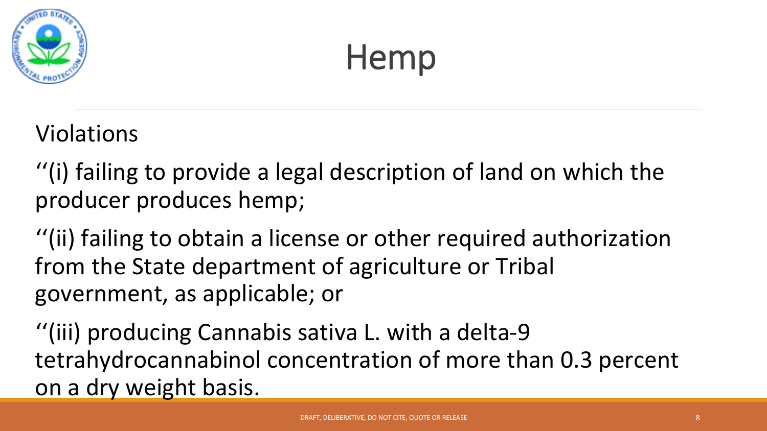

Violations 

 $'$ (i) failing to provide a legal description of land on which the producer produces hemp;

 $''(ii)$  failing to obtain a license or other required authorization from the State department of agriculture or Tribal government, as applicable; or

"(iii) producing Cannabis sativa L. with a delta-9 tetrahydrocannabinol concentration of more than 0.3 percent on a dry weight basis.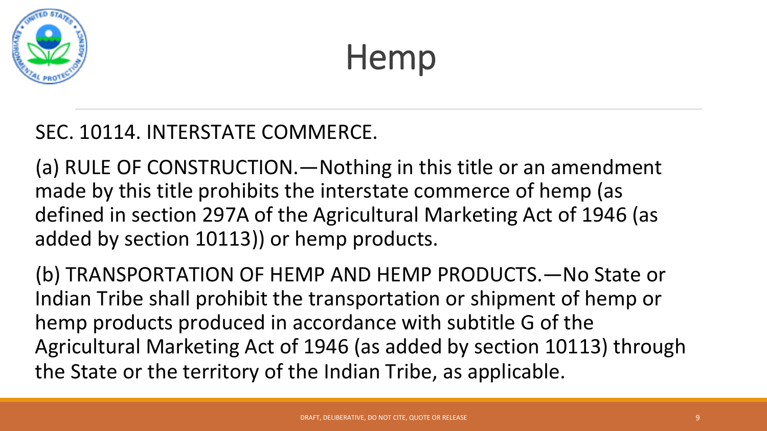

#### SEC. 10114. INTERSTATE COMMERCE.

(a) RULE OF CONSTRUCTION.—Nothing in this title or an amendment made by this title prohibits the interstate commerce of hemp (as defined in section 297A of the Agricultural Marketing Act of 1946 (as added by section 10113)) or hemp products.

(b) TRANSPORTATION OF HEMP AND HEMP PRODUCTS.—No State or Indian Tribe shall prohibit the transportation or shipment of hemp or hemp products produced in accordance with subtitle G of the Agricultural Marketing Act of 1946 (as added by section 10113) through the State or the territory of the Indian Tribe, as applicable.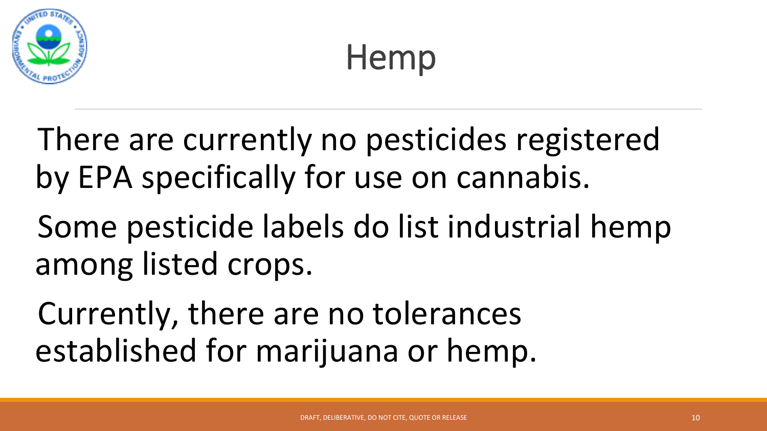

There are currently no pesticides registered by EPA specifically for use on cannabis.

Some pesticide labels do list industrial hemp among listed crops.

Currently, there are no tolerances established for marijuana or hemp.